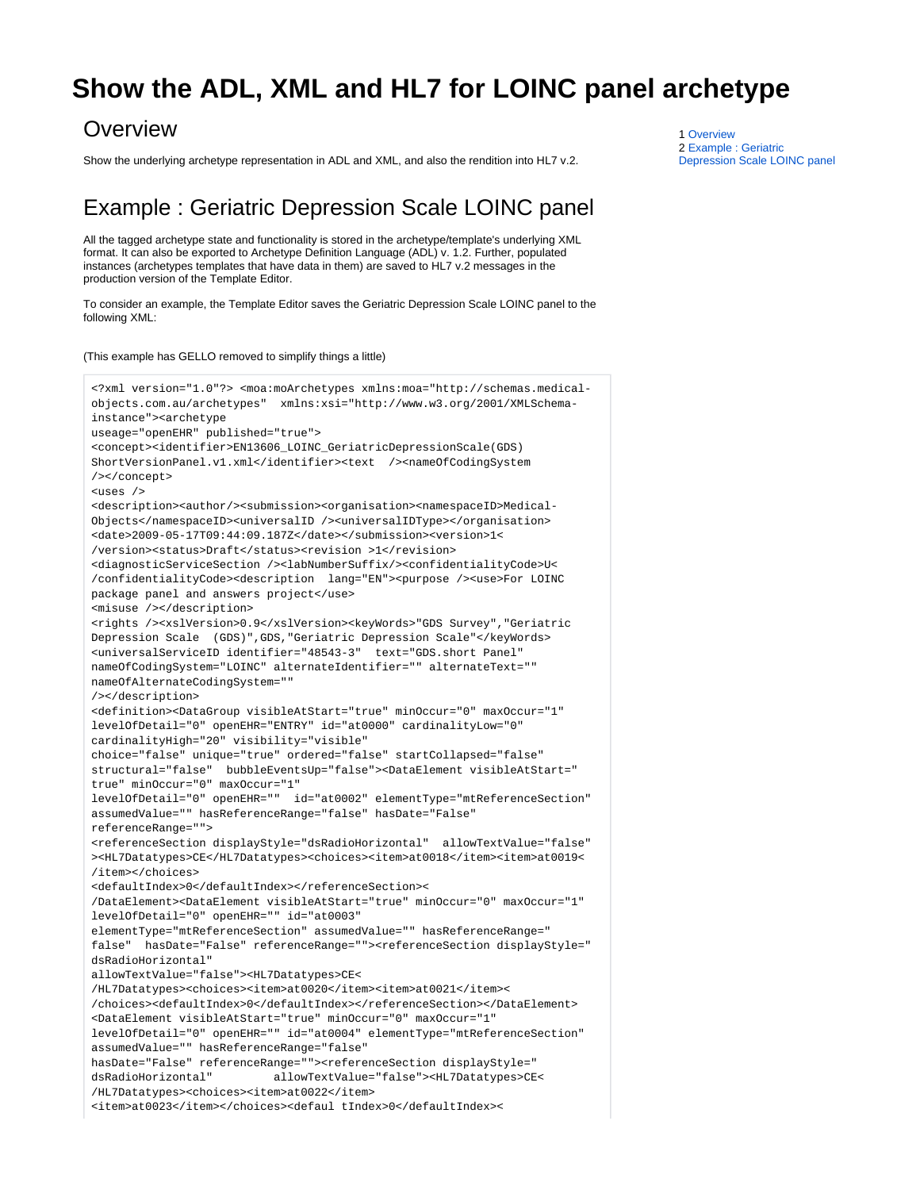## <span id="page-0-0"></span>**Show the ADL, XML and HL7 for LOINC panel archetype**

## **Overview**

Show the underlying archetype representation in ADL and XML, and also the rendition into HL7 v.2.

## <span id="page-0-1"></span>Example : Geriatric Depression Scale LOINC panel

All the tagged archetype state and functionality is stored in the archetype/template's underlying XML format. It can also be exported to Archetype Definition Language (ADL) v. 1.2. Further, populated instances (archetypes templates that have data in them) are saved to HL7 v.2 messages in the production version of the Template Editor.

To consider an example, the Template Editor saves the Geriatric Depression Scale LOINC panel to the following XML:

## (This example has GELLO removed to simplify things a little)

```
<?xml version="1.0"?> <moa:moArchetypes xmlns:moa="http://schemas.medical-
objects.com.au/archetypes" xmlns:xsi="http://www.w3.org/2001/XMLSchema-
instance"><archetype 
useage="openEHR" published="true"> 
<concept><identifier>EN13606_LOINC_GeriatricDepressionScale(GDS)
ShortVersionPanel.v1.xml</identifier><text /><nameOfCodingSystem
/></concept>
<uses />
<description><author/><submission><organisation><namespaceID>Medical-
Objects</namespaceID><universalID /><universalIDType></organisation>
<date>2009-05-17T09:44:09.187Z</date></submission><version>1<
/version><status>Draft</status><revision >1</revision>
<diagnosticServiceSection /><labNumberSuffix/><confidentialityCode>U<
/confidentialityCode><description lang="EN"><purpose /><use>For LOINC 
package panel and answers project</use> 
<misuse /></description>
<rights /><xslVersion>0.9</xslVersion><keyWords>"GDS Survey","Geriatric 
Depression Scale (GDS)",GDS,"Geriatric Depression Scale"</keyWords> 
<universalServiceID identifier="48543-3" text="GDS.short Panel" 
nameOfCodingSystem="LOINC" alternateIdentifier="" alternateText="" 
nameOfAlternateCodingSystem="" 
/></description> 
<definition><DataGroup visibleAtStart="true" minOccur="0" maxOccur="1" 
levelOfDetail="0" openEHR="ENTRY" id="at0000" cardinalityLow="0" 
cardinalityHigh="20" visibility="visible" 
choice="false" unique="true" ordered="false" startCollapsed="false" 
structural="false" bubbleEventsUp="false"><DataElement visibleAtStart="
true" minOccur="0" maxOccur="1" 
levelOfDetail="0" openEHR="" id="at0002" elementType="mtReferenceSection" 
assumedValue="" hasReferenceRange="false" hasDate="False" 
referenceRange="">
<referenceSection displayStyle="dsRadioHorizontal" allowTextValue="false"
><HL7Datatypes>CE</HL7Datatypes><choices><item>at0018</item><item>at0019<
/item></choices>
<defaultIndex>0</defaultIndex></referenceSection><
/DataElement><DataElement visibleAtStart="true" minOccur="0" maxOccur="1" 
levelOfDetail="0" openEHR="" id="at0003" 
elementType="mtReferenceSection" assumedValue="" hasReferenceRange="
false" hasDate="False" referenceRange=""><referenceSection displayStyle="
dsRadioHorizontal" 
allowTextValue="false"><HL7Datatypes>CE<
/HL7Datatypes><choices><item>at0020</item><item>at0021</item><
/choices><defaultIndex>0</defaultIndex></referenceSection></DataElement>
<DataElement visibleAtStart="true" minOccur="0" maxOccur="1" 
levelOfDetail="0" openEHR="" id="at0004" elementType="mtReferenceSection" 
assumedValue="" hasReferenceRange="false" 
hasDate="False" referenceRange=""><referenceSection displayStyle="
dsRadioHorizontal" allowTextValue="false"><HL7Datatypes>CE<
/HL7Datatypes><choices><item>at0022</item>
<item>at0023</item></choices><defaul tIndex>0</defaultIndex><
```
1 [Overview](#page-0-0) 2 [Example : Geriatric](#page-0-1)  [Depression Scale LOINC panel](#page-0-1)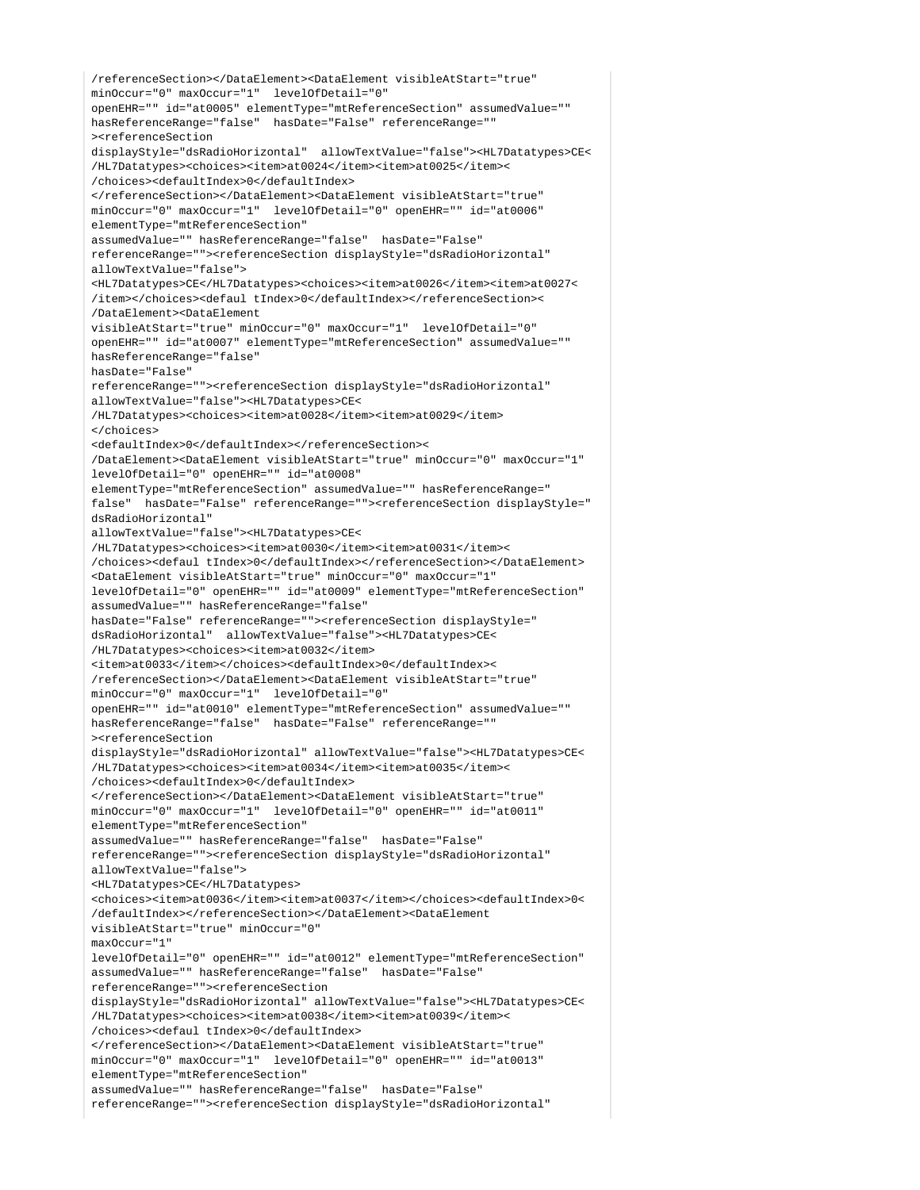```
/referenceSection></DataElement><DataElement visibleAtStart="true" 
minOccur="0" maxOccur="1" levelOfDetail="0" 
openEHR="" id="at0005" elementType="mtReferenceSection" assumedValue="" 
hasReferenceRange="false" hasDate="False" referenceRange=""
><referenceSection 
displayStyle="dsRadioHorizontal" allowTextValue="false"><HL7Datatypes>CE<
/HL7Datatypes><choices><item>at0024</item><item>at0025</item><
/choices><defaultIndex>0</defaultIndex>
</referenceSection></DataElement><DataElement visibleAtStart="true" 
minOccur="0" maxOccur="1" levelOfDetail="0" openEHR="" id="at0006" 
elementType="mtReferenceSection" 
assumedValue="" hasReferenceRange="false" hasDate="False" 
referenceRange=""><referenceSection displayStyle="dsRadioHorizontal" 
allowTextValue="false">
<HL7Datatypes>CE</HL7Datatypes><choices><item>at0026</item><item>at0027<
/item></choices><defaul tIndex>0</defaultIndex></referenceSection><
/DataElement><DataElement 
visibleAtStart="true" minOccur="0" maxOccur="1" levelOfDetail="0" 
openEHR="" id="at0007" elementType="mtReferenceSection" assumedValue="" 
hasReferenceRange="false" 
hasDate="False" 
referenceRange=""><referenceSection displayStyle="dsRadioHorizontal" 
allowTextValue="false"><HL7Datatypes>CE<
/HL7Datatypes><choices><item>at0028</item><item>at0029</item>
</choices>
<defaultIndex>0</defaultIndex></referenceSection><
/DataElement><DataElement visibleAtStart="true" minOccur="0" maxOccur="1" 
levelOfDetail="0" openEHR="" id="at0008" 
elementType="mtReferenceSection" assumedValue="" hasReferenceRange="
false" hasDate="False" referenceRange=""><referenceSection displayStyle="
dsRadioHorizontal" 
allowTextValue="false"><HL7Datatypes>CE<
/HL7Datatypes><choices><item>at0030</item><item>at0031</item><
/choices><defaul tIndex>0</defaultIndex></referenceSection></DataElement>
<DataElement visibleAtStart="true" minOccur="0" maxOccur="1" 
levelOfDetail="0" openEHR="" id="at0009" elementType="mtReferenceSection" 
assumedValue="" hasReferenceRange="false" 
hasDate="False" referenceRange=""><referenceSection displayStyle="
dsRadioHorizontal" allowTextValue="false"><HL7Datatypes>CE<
/HL7Datatypes><choices><item>at0032</item>
<item>at0033</item></choices><defaultIndex>0</defaultIndex><
/referenceSection></DataElement><DataElement visibleAtStart="true" 
minOccur="0" maxOccur="1" levelOfDetail="0" 
openEHR="" id="at0010" elementType="mtReferenceSection" assumedValue="" 
hasReferenceRange="false" hasDate="False" referenceRange=""
><referenceSection 
displayStyle="dsRadioHorizontal" allowTextValue="false"><HL7Datatypes>CE<
/HL7Datatypes><choices><item>at0034</item><item>at0035</item><
/choices><defaultIndex>0</defaultIndex>
</referenceSection></DataElement><DataElement visibleAtStart="true" 
minOccur="0" maxOccur="1" levelOfDetail="0" openEHR="" id="at0011" 
elementType="mtReferenceSection" 
assumedValue="" hasReferenceRange="false" hasDate="False" 
referenceRange=""><referenceSection displayStyle="dsRadioHorizontal" 
allowTextValue="false">
<HL7Datatypes>CE</HL7Datatypes>
<choices><item>at0036</item><item>at0037</item></choices><defaultIndex>0<
/defaultIndex></referenceSection></DataElement><DataElement 
visibleAtStart="true" minOccur="0" 
maxOccur="1" 
levelOfDetail="0" openEHR="" id="at0012" elementType="mtReferenceSection" 
assumedValue="" hasReferenceRange="false" hasDate="False" 
referenceRange=""><referenceSection 
displayStyle="dsRadioHorizontal" allowTextValue="false"><HL7Datatypes>CE<
/HL7Datatypes><choices><item>at0038</item><item>at0039</item><
/choices><defaul tIndex>0</defaultIndex>
</referenceSection></DataElement><DataElement visibleAtStart="true" 
minOccur="0" maxOccur="1" levelOfDetail="0" openEHR="" id="at0013"
elementType="mtReferenceSection" 
assumedValue="" hasReferenceRange="false" hasDate="False" 
referenceRange=""><referenceSection displayStyle="dsRadioHorizontal"
```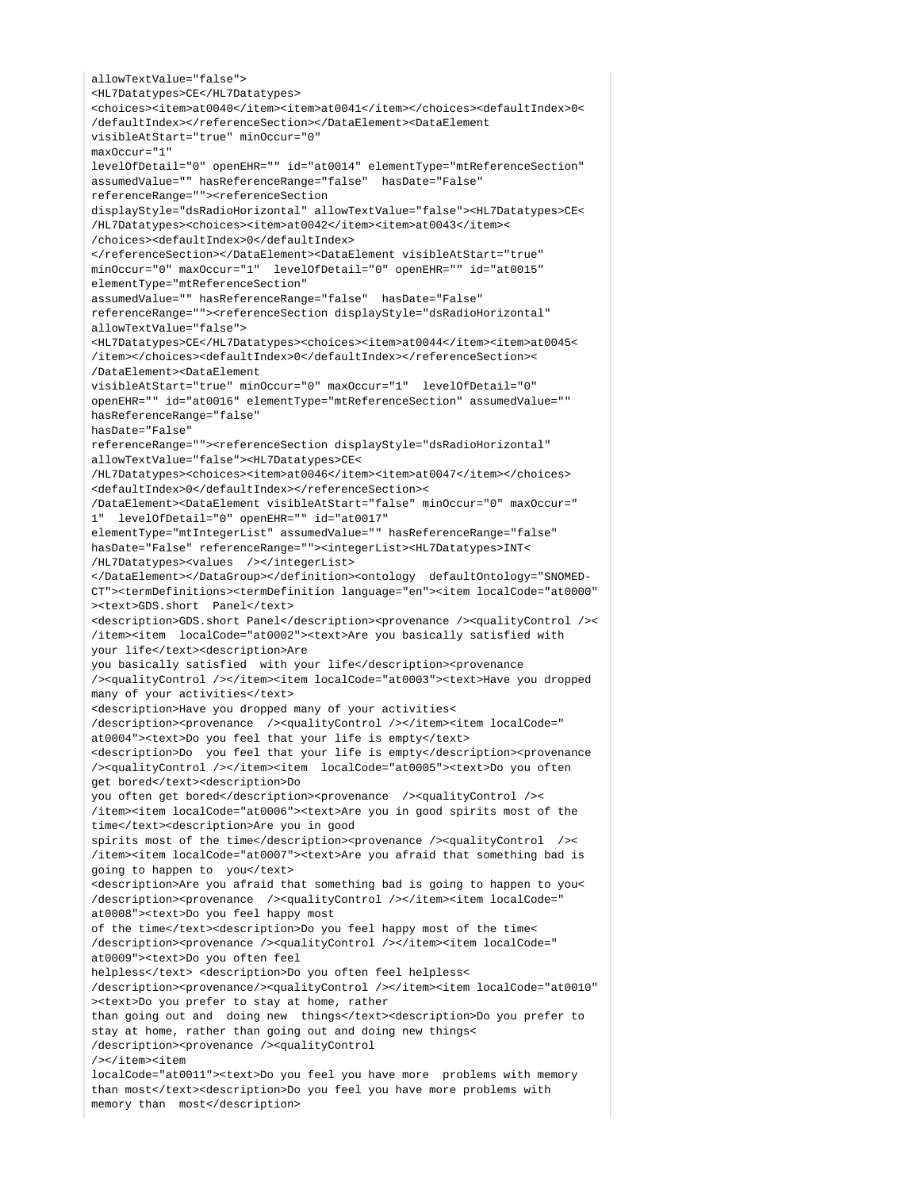allowTextValue="false"> <HL7Datatypes>CE</HL7Datatypes> <choices><item>at0040</item><item>at0041</item></choices><defaultIndex>0< /defaultIndex></referenceSection></DataElement><DataElement visibleAtStart="true" minOccur="0" maxOccur="1" levelOfDetail="0" openEHR="" id="at0014" elementType="mtReferenceSection" assumedValue="" hasReferenceRange="false" hasDate="False" referenceRange=""><referenceSection displayStyle="dsRadioHorizontal" allowTextValue="false"><HL7Datatypes>CE< /HL7Datatypes><choices><item>at0042</item><item>at0043</item>< /choices><defaultIndex>0</defaultIndex> </referenceSection></DataElement><DataElement visibleAtStart="true" minOccur="0" maxOccur="1" levelOfDetail="0" openEHR="" id="at0015" elementType="mtReferenceSection" assumedValue="" hasReferenceRange="false" hasDate="False" referenceRange=""><referenceSection displayStyle="dsRadioHorizontal" allowTextValue="false"> <HL7Datatypes>CE</HL7Datatypes><choices><item>at0044</item><item>at0045< /item></choices><defaultIndex>0</defaultIndex></referenceSection>< /DataElement><DataElement visibleAtStart="true" minOccur="0" maxOccur="1" levelOfDetail="0" openEHR="" id="at0016" elementType="mtReferenceSection" assumedValue="" hasReferenceRange="false" hasDate="False" referenceRange=""><referenceSection displayStyle="dsRadioHorizontal" allowTextValue="false"><HL7Datatypes>CE< /HL7Datatypes><choices><item>at0046</item><item>at0047</item></choices> <defaultIndex>0</defaultIndex></referenceSection>< /DataElement><DataElement visibleAtStart="false" minOccur="0" maxOccur=" 1" levelOfDetail="0" openEHR="" id="at0017" elementType="mtIntegerList" assumedValue="" hasReferenceRange="false" hasDate="False" referenceRange=""><integerList><HL7Datatypes>INT< /HL7Datatypes><values /></integerList> </DataElement></DataGroup></definition><ontology defaultOntology="SNOMED-CT"><termDefinitions><termDefinition language="en"><item localCode="at0000" ><text>GDS.short Panel</text> <description>GDS.short Panel</description><provenance /><qualityControl />< /item><item localCode="at0002"><text>Are you basically satisfied with your life</text><description>Are you basically satisfied with your life</description><provenance /><qualityControl /></item><item localCode="at0003"><text>Have you dropped many of your activities</text> <description>Have you dropped many of your activities< /description><provenance /><qualityControl />>/</item><item localCode=" at0004"><text>Do you feel that your life is empty</text> <description>Do you feel that your life is empty</description><provenance /><qualityControl /></item><item localCode="at0005"><text>Do you often get bored</text><description>Do you often get bored</description><provenance /><qualityControl />< /item><item localCode="at0006"><text>Are you in good spirits most of the time</text><description>Are you in good spirits most of the time</description><provenance /><qualityControl />< /item><item localCode="at0007"><text>Are you afraid that something bad is going to happen to you</text> <description>Are you afraid that something bad is going to happen to you< /description><provenance /><qualityControl /></item><item localCode=" at0008"><text>Do you feel happy most of the time</text><description>Do you feel happy most of the time< /description><provenance /><qualityControl /></item><item localCode=" at0009"><text>Do you often feel helpless</text> <description>Do you often feel helpless< /description><provenance/><qualityControl /></item><item localCode="at0010" ><text>Do you prefer to stay at home, rather than going out and doing new things</text><description>Do you prefer to stay at home, rather than going out and doing new things< /description><provenance /><qualityControl /></item><item localCode="at0011"><text>Do you feel you have more problems with memory than most</text><description>Do you feel you have more problems with memory than most</description>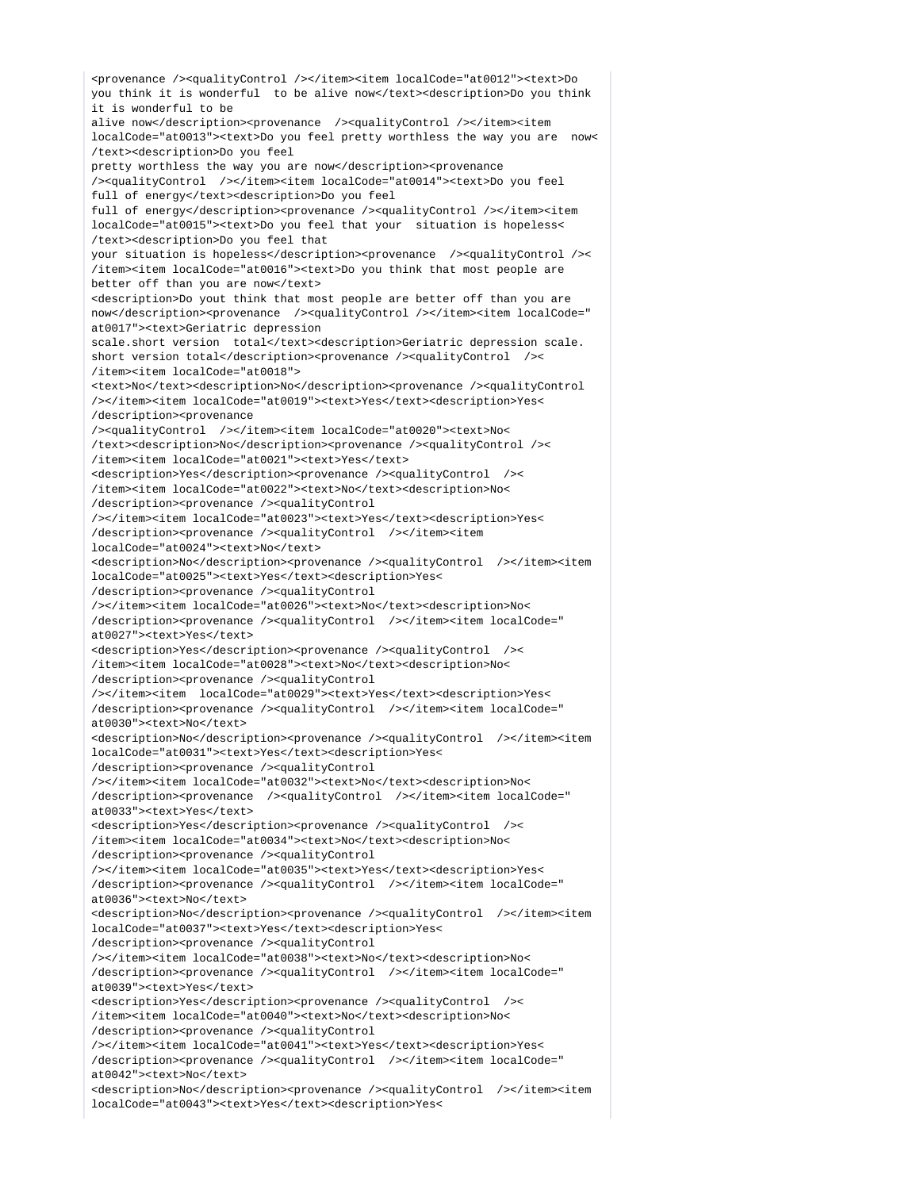<provenance /><qualityControl /></item><item localCode="at0012"><text>Do you think it is wonderful to be alive now</text><description>Do you think it is wonderful to be alive now</description><provenance /><qualityControl /></item><item localCode="at0013"><text>Do you feel pretty worthless the way you are now< /text><description>Do you feel pretty worthless the way you are now</description><provenance /><qualityControl /></item><item localCode="at0014"><text>Do you feel full of energy</text><description>Do you feel full of energy</description><provenance />>/</a></pduckyControl />>//item><item> localCode="at0015"><text>Do you feel that your situation is hopeless< /text><description>Do you feel that your situation is hopeless</description><provenance />>/</a></a><//>cqualityControl /><//>></ /item><item localCode="at0016"><text>Do you think that most people are better off than you are now</text> <description>Do yout think that most people are better off than you are now</description><provenance />>/<qualityControl /></item><item localCode=" at0017"><text>Geriatric depression scale.short version total</text><description>Geriatric depression scale. short version total</description><provenance /></a></a>/<//>cqualityControl /><//>></ /item><item localCode="at0018"> <text>No</text><description>No</description><provenance /><qualityControl /></item><item localCode="at0019"><text>Yes</text><description>Yes< /description><provenance /><qualityControl /></item><item localCode="at0020"><text>No< /text><description>No</description><provenance /><qualityControl />< /item><item localCode="at0021"><text>Yes</text> <description>Yes</description><provenance /><qualityControl />< /item><item localCode="at0022"><text>No</text><description>No< /description><provenance /><qualityControl /></item><item localCode="at0023"><text>Yes</text><description>Yes< /description><provenance /><qualityControl /></item><item localCode="at0024"><text>No</text> <description>No</description><provenance /><qualityControl /></item><item localCode="at0025"><text>Yes</text><description>Yes< /description><provenance /><qualityControl /></item><item localCode="at0026"><text>No</text><description>No< /description><provenance /><qualityControl />>/</item><item localCode=" at0027"><text>Yes</text> <description>Yes</description><provenance /><qualityControl />< /item><item localCode="at0028"><text>No</text><description>No< /description><provenance /><qualityControl /></item><item localCode="at0029"><text>Yes</text><description>Yes< /description><provenance /><qualityControl />>/</item><item localCode=" at0030"><text>No</text> <description>No</description><provenance /><qualityControl /></item><item localCode="at0031"><text>Yes</text><description>Yes< /description><provenance /><qualityControl /></item><item localCode="at0032"><text>No</text><description>No< /description><provenance /><qualityControl /></item><item localCode=" at0033"><text>Yes</text> <description>Yes</description><provenance /><qualityControl />< /item><item localCode="at0034"><text>No</text><description>No< /description><provenance /><qualityControl /></item><item localCode="at0035"><text>Yes</text><description>Yes< /description><provenance /><qualityControl /></item><item localCode=" at0036"><text>No</text> <description>No</description><provenance /><qualityControl /></item><item localCode="at0037"><text>Yes</text><description>Yes< /description><provenance /><qualityControl /></item><item localCode="at0038"><text>No</text><description>No< /description><provenance /><qualityControl /></item><item localCode=" at0039"><text>Yes</text> <description>Yes</description><provenance /><qualityControl />< /item><item localCode="at0040"><text>No</text><description>No< /description><provenance /><qualityControl /></item><item localCode="at0041"><text>Yes</text><description>Yes< /description><provenance /><qualityControl /></item><item localCode=" at0042"><text>No</text> <description>No</description><provenance /><qualityControl /></item><item localCode="at0043"><text>Yes</text><description>Yes<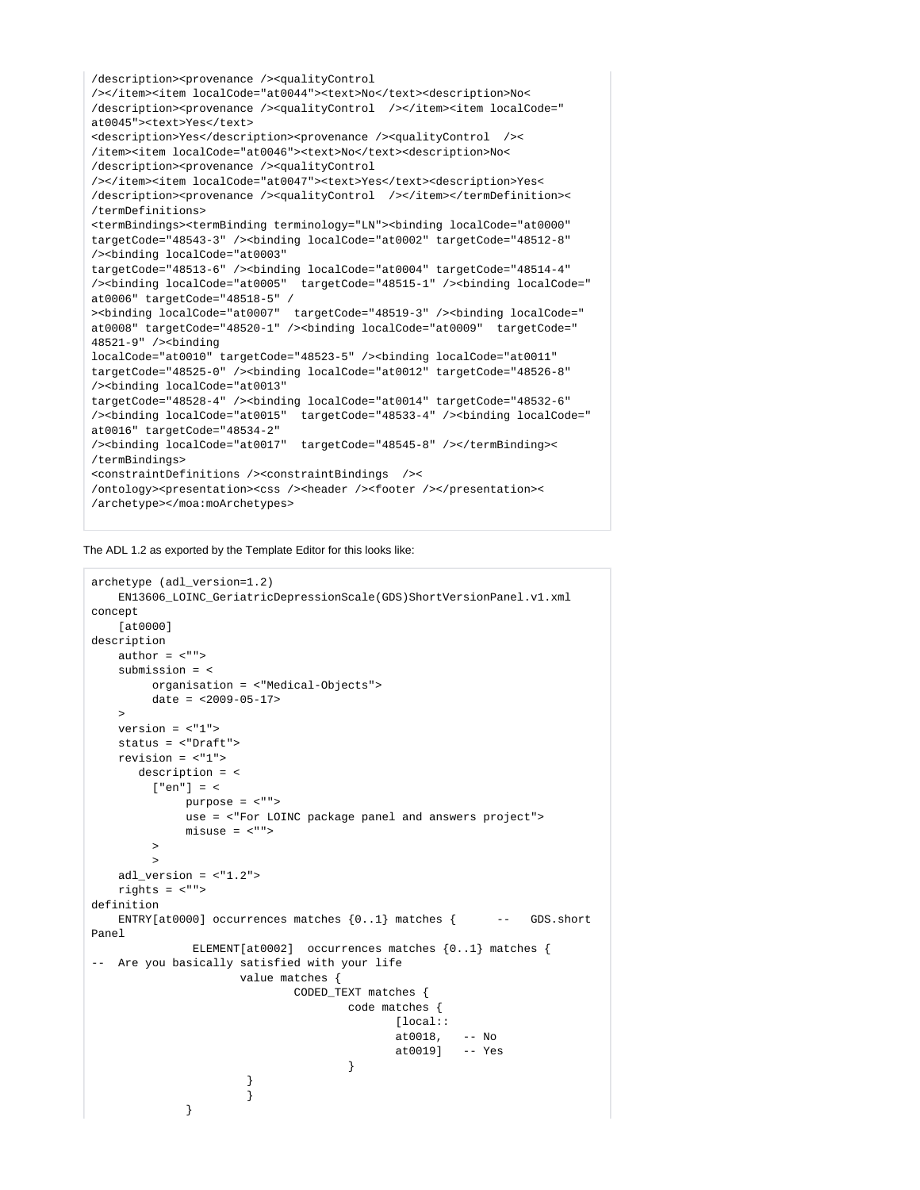```
/description><provenance /><qualityControl 
/></item><item localCode="at0044"><text>No</text><description>No<
/description><provenance /><qualityControl /></item><item localCode="
at0045"><text>Yes</text>
<description>Yes</description><provenance /><qualityControl /><
/item><item localCode="at0046"><text>No</text><description>No<
/description><provenance /><qualityControl 
/></item><item localCode="at0047"><text>Yes</text><description>Yes<
/description><provenance /><qualityControl /></item></termDefinition><
/termDefinitions>
<termBindings><termBinding terminology="LN"><binding localCode="at0000" 
targetCode="48543-3" /><binding localCode="at0002" targetCode="48512-8" 
/><binding localCode="at0003" 
targetCode="48513-6" /><binding localCode="at0004" targetCode="48514-4" 
/><binding localCode="at0005" targetCode="48515-1" /><binding localCode="
at0006" targetCode="48518-5" /
><binding localCode="at0007" targetCode="48519-3" /><binding localCode="
at0008" targetCode="48520-1" /><binding localCode="at0009" targetCode="
48521-9" /><binding 
localCode="at0010" targetCode="48523-5" /><binding localCode="at0011" 
targetCode="48525-0" /><binding localCode="at0012" targetCode="48526-8" 
/><binding localCode="at0013" 
targetCode="48528-4" /><binding localCode="at0014" targetCode="48532-6" 
/><binding localCode="at0015" targetCode="48533-4" /><binding localCode="
at0016" targetCode="48534-2" 
/><binding localCode="at0017" targetCode="48545-8" /></termBinding><
/termBindings>
<constraintDefinitions /><constraintBindings /><
/ontology><presentation><css />> /><header />>/>/><footer />>/presentation><
/archetype></moa:moArchetypes>
```
The ADL 1.2 as exported by the Template Editor for this looks like:

```
archetype (adl_version=1.2)
    EN13606_LOINC_GeriatricDepressionScale(GDS)ShortVersionPanel.v1.xml
concept
    [at0000]
description
    author = <"">
    submission = <
         organisation = <"Medical-Objects">
        date = <math>2009 - 05 - 17\rightarrow version = <"1">
    status = <"Draft">
    revision = <"1">
       description = <
         ["en"] = <
             purpose = <"">
              use = <"For LOINC package panel and answers project">
             misuse = <"">
\rightarrow\rightarrow adl_version = <"1.2">
    rights = <"">
definition
   ENTRY[at0000] occurrences matches \{0..1\} matches \{ -- GDS.short
Panel
              ELEMENT[at0002] occurrences matches {0..1} matches { 
-- Are you basically satisfied with your life
                     value matches {
                             CODED_TEXT matches {
                                    code matches {
                                          [local::
                                          at0018, -- No
                                           at0019] -- Yes
 }
 }
 }
 }
```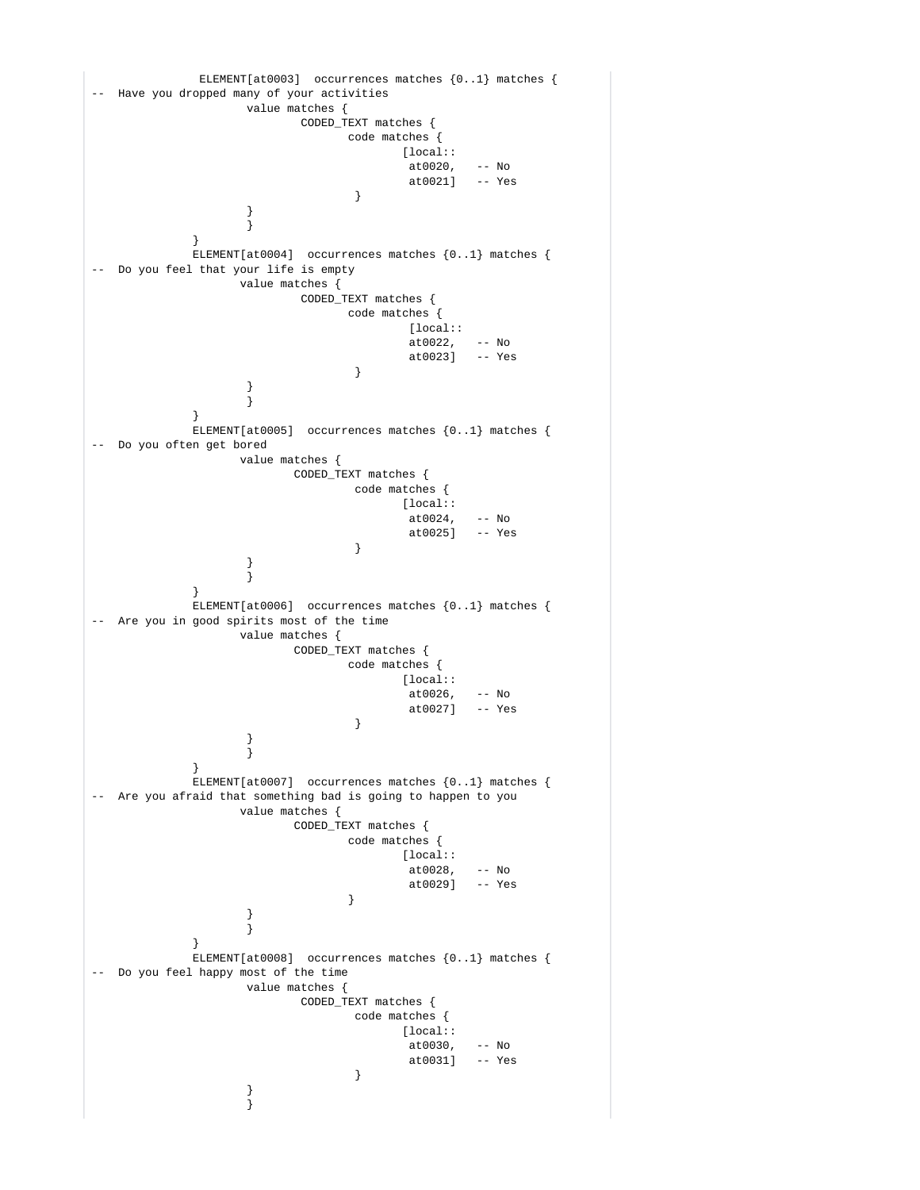```
 ELEMENT[at0003] occurrences matches {0..1} matches { 
-- Have you dropped many of your activities
                 value matches {
                       CODED_TEXT matches {
                            code matches {
                                  [local::
                                 at0020, -N0<br>at0021] -- Yes
                                 at0021]
 }
 }
 }
 }
           ELEMENT[at0004] occurrences matches {0..1} matches { 
-- Do you feel that your life is empty
                value matches {
                       CODED_TEXT matches {
                            code matches {
                                  [local::
                                 at0022, - - No<br>at0023] -- Yes
                            at0023]
 }
 }
 }
 }
           ELEMENT[at0005] occurrences matches {0..1} matches { 
-- Do you often get bored
                value matches {
                      CODED_TEXT matches {
                            code matches {
                                  [local::
                                 at0024,<br>at00251
                                        -- No<br>-- Yes
 }
 }
 }
 }
           ELEMENT[at0006] occurrences matches {0..1} matches { 
-- Are you in good spirits most of the time
                value matches {
                      CODED_TEXT matches {
                            code matches {
                                 [local::
                                  at0026, -- No
                                  at0027] -- Yes
 }
 }
 }
 }
           ELEMENT[at0007] occurrences matches {0..1} matches { 
-- Are you afraid that something bad is going to happen to you
                value matches {
                      CODED_TEXT matches {
                            code matches {
                                 [local::
                                  at0028, -- No
                                  at0029] -- Yes
 }
 }
 }
 }
           ELEMENT[at0008] occurrences matches {0..1} matches { 
-- Do you feel happy most of the time
                 value matches {
                       CODED_TEXT matches {
                             code matches {
                                  [local::
                                  at0030, -- No
                                  at0031] -- Yes
 }
 }
 }
```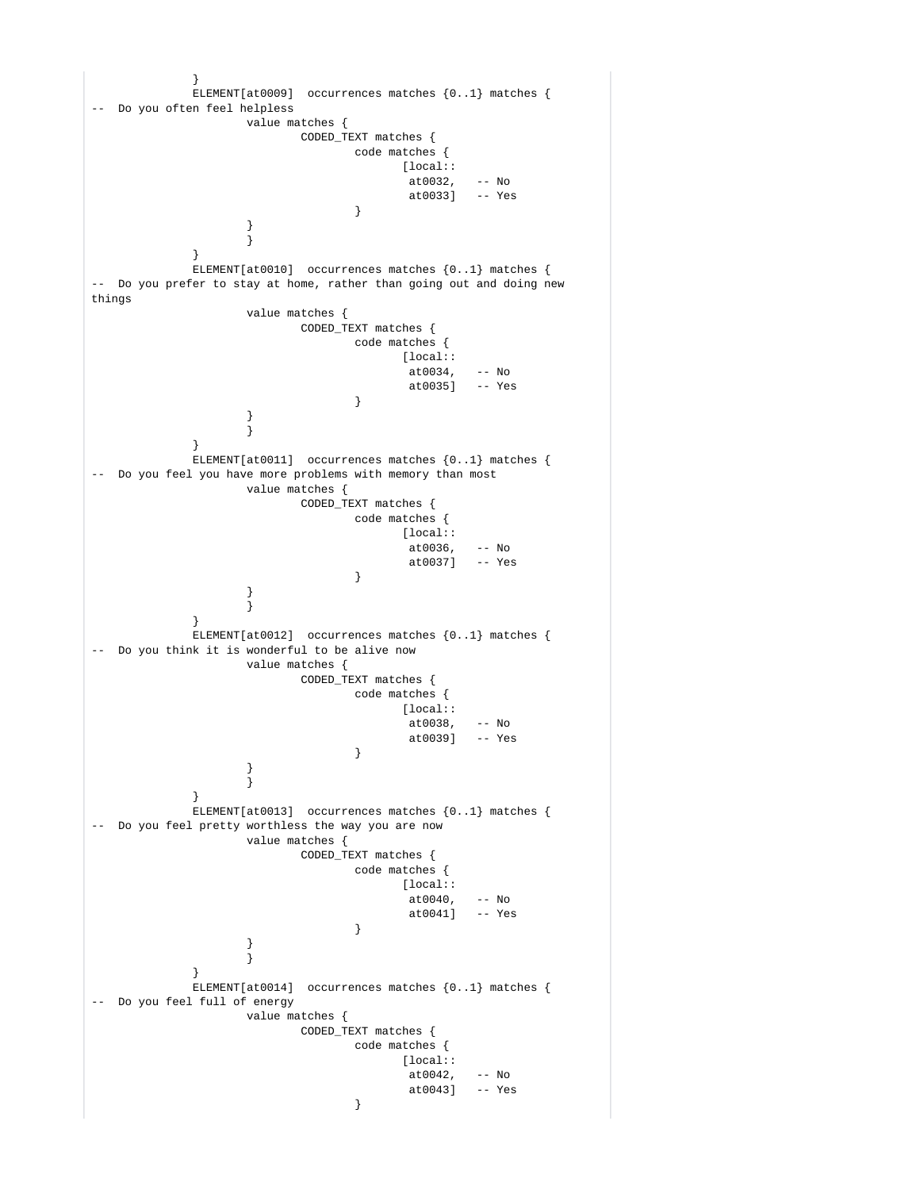```
 }
            ELEMENT[at0009] occurrences matches {0..1} matches { 
-- Do you often feel helpless
                  value matches {
                        CODED_TEXT matches {
                             code matches {
                                   [local::
                                  at0032, -N0<br>at00331 -- Yes
                                  at.00331 }
 }
 }
 }
            ELEMENT[at0010] occurrences matches {0..1} matches { 
-- Do you prefer to stay at home, rather than going out and doing new 
things
                  value matches {
                        CODED_TEXT matches {
                             code matches {
                                   [local::
                                   at0034, -- No
                                   at0035] -- Yes
 }
 }
 }
 }
            ELEMENT[at0011] occurrences matches {0..1} matches { 
-- Do you feel you have more problems with memory than most
                 value matches {
                        CODED_TEXT matches {
                             code matches {
                                   [local::
                                  at0036, -N0<br>at0037] -- Yes
                                  at0037]
 }
 }
 }
 }
            ELEMENT[at0012] occurrences matches {0..1} matches { 
-- Do you think it is wonderful to be alive now
                  value matches {
                        CODED_TEXT matches {
                              code matches {
                                  [local::
                                  at0038, -N0<br>at0039] -- Yes
                             at0039]
 }
 }
 }
 }
            ELEMENT[at0013] occurrences matches {0..1} matches { 
-- Do you feel pretty worthless the way you are now
                  value matches {
                        CODED_TEXT matches {
                             code matches {
                                   [local::
                                  at0040, -- No<br>at0041] -- Yes
                                  at.00411 }
 }
 }
 }
            ELEMENT[at0014] occurrences matches {0..1} matches { 
-- Do you feel full of energy
                  value matches {
                        CODED_TEXT matches {
                             code matches {
                                  [local::
                                   at0042, -- No
                                   at0043] -- Yes
 }
```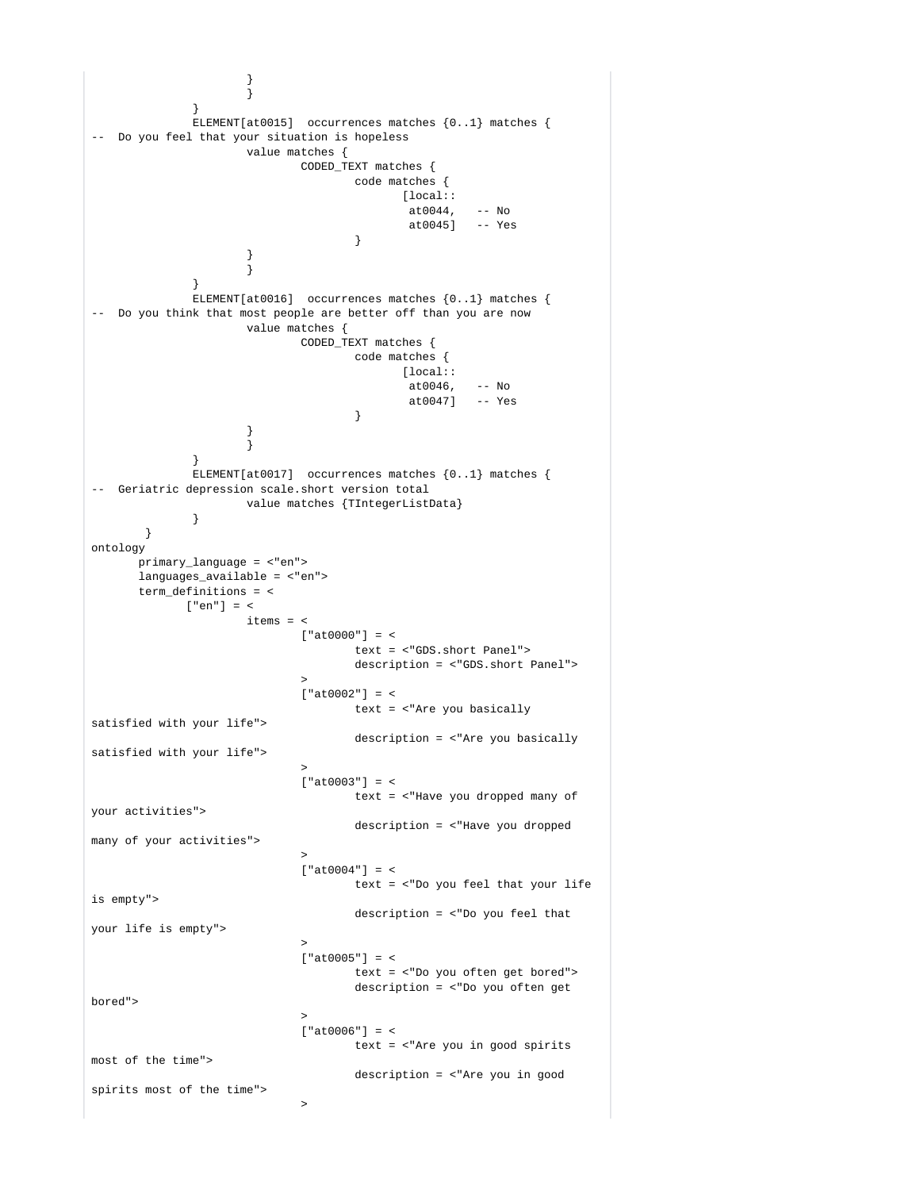```
 }
 }
 }
            ELEMENT[at0015] occurrences matches {0..1} matches { 
-- Do you feel that your situation is hopeless
                  value matches {
                        CODED_TEXT matches {
                              code matches {
                                   [local::
                                    at0044, -- No
                                    at0045] -- Yes
 }
 }
 }
 }
            ELEMENT[at0016] occurrences matches {0..1} matches { 
-- Do you think that most people are better off than you are now
                  value matches {
                        CODED_TEXT matches {
                              code matches {
                                  [local::
at0046, -N0 at0047] -- Yes
 }
 }
 }
 }
            ELEMENT[at0017] occurrences matches {0..1} matches { 
-- Geriatric depression scale.short version total
                  value matches {TIntegerListData}
 }
       }
ontology
      primary_language = <"en">
      languages_available = <"en">
      term_definitions = <
           ["en"] = <
                 items = <['at0000"] = < text = <"GDS.short Panel">
                              description = <"GDS.short Panel">
 >
                       ['at0002"] = < text = <"Are you basically 
satisfied with your life">
                              description = <"Are you basically 
satisfied with your life">
 >
                       ['at0003"] = < text = <"Have you dropped many of 
your activities">
                              description = <"Have you dropped 
many of your activities">
 >
                       ['at0004"] = < text = <"Do you feel that your life 
is empty">
                              description = <"Do you feel that 
your life is empty">
 >
                       ['at0005"] = < text = <"Do you often get bored">
                              description = <"Do you often get 
bored">
 >
                       [ "at0006" ] = < text = <"Are you in good spirits 
most of the time">
                              description = <"Are you in good 
spirits most of the time">
 >
```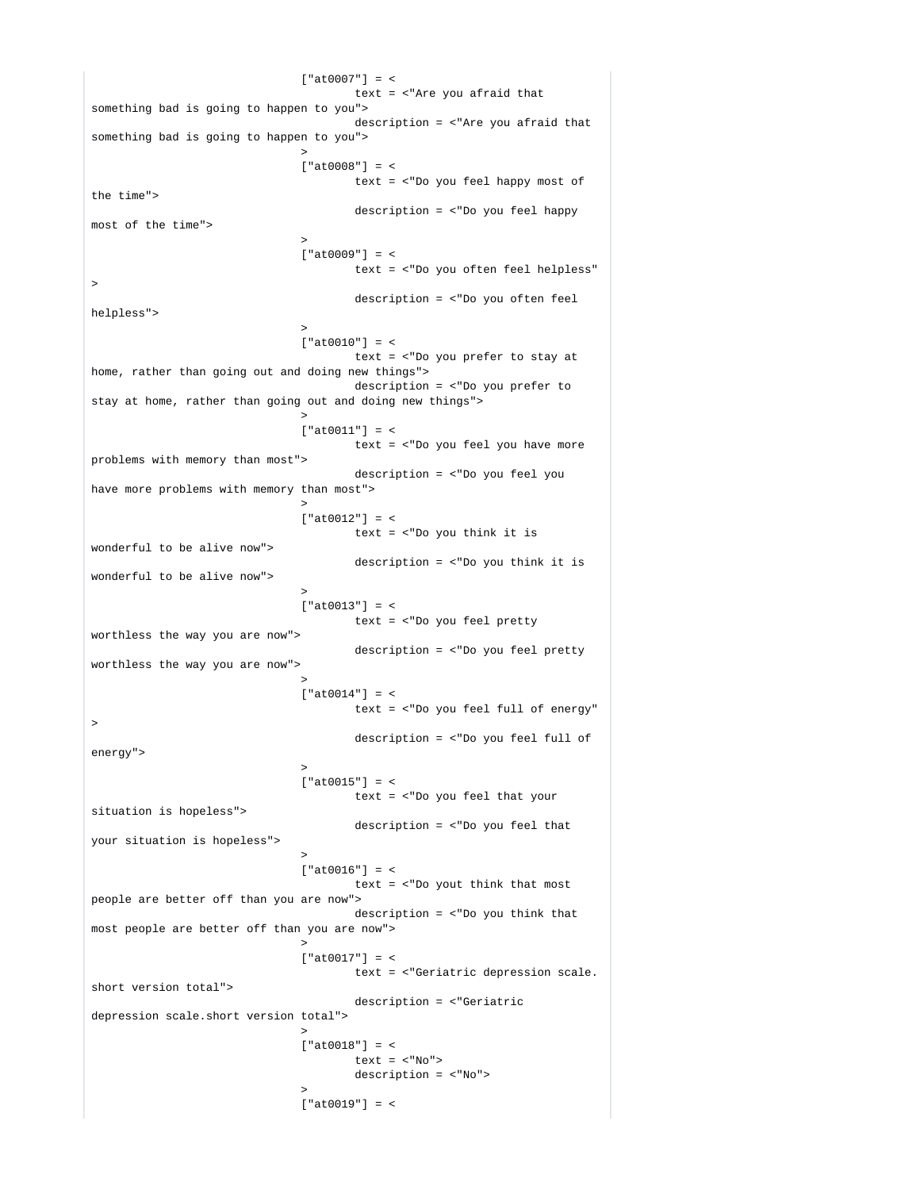$[ "at0007" ] = <$  text = <"Are you afraid that something bad is going to happen to you"> description = <"Are you afraid that something bad is going to happen to you"> >  $['at0008"] = <$  text = <"Do you feel happy most of the time"> description = <"Do you feel happy most of the time"> >  $['at0009"] = <$  text = <"Do you often feel helpless" > description = <"Do you often feel helpless"> >  $['at0010"] = <$  text = <"Do you prefer to stay at home, rather than going out and doing new things"> description = <"Do you prefer to stay at home, rather than going out and doing new things"> >  $['at0011"] = <$  text = <"Do you feel you have more problems with memory than most"> description = <"Do you feel you have more problems with memory than most"> >  $['at0012"] = <$  text = <"Do you think it is wonderful to be alive now"> description = <"Do you think it is wonderful to be alive now"> >  $['at0013"] = <$  text = <"Do you feel pretty worthless the way you are now"> description = <"Do you feel pretty worthless the way you are now"> >  $['at0014"] = <$  text = <"Do you feel full of energy" > description = <"Do you feel full of energy"> >  $['at0015"] = <$  text = <"Do you feel that your situation is hopeless"> description = <"Do you feel that your situation is hopeless"> >  $['at0016"] = <$  text = <"Do yout think that most people are better off than you are now"> description = <"Do you think that most people are better off than you are now"> >  $['at.0017"] = <$  text = <"Geriatric depression scale. short version total"> description = <"Geriatric depression scale.short version total"> >  $['at0018"] = <$ text =  $<$ "No"> description = <"No"> >  $["at.0019"] = <$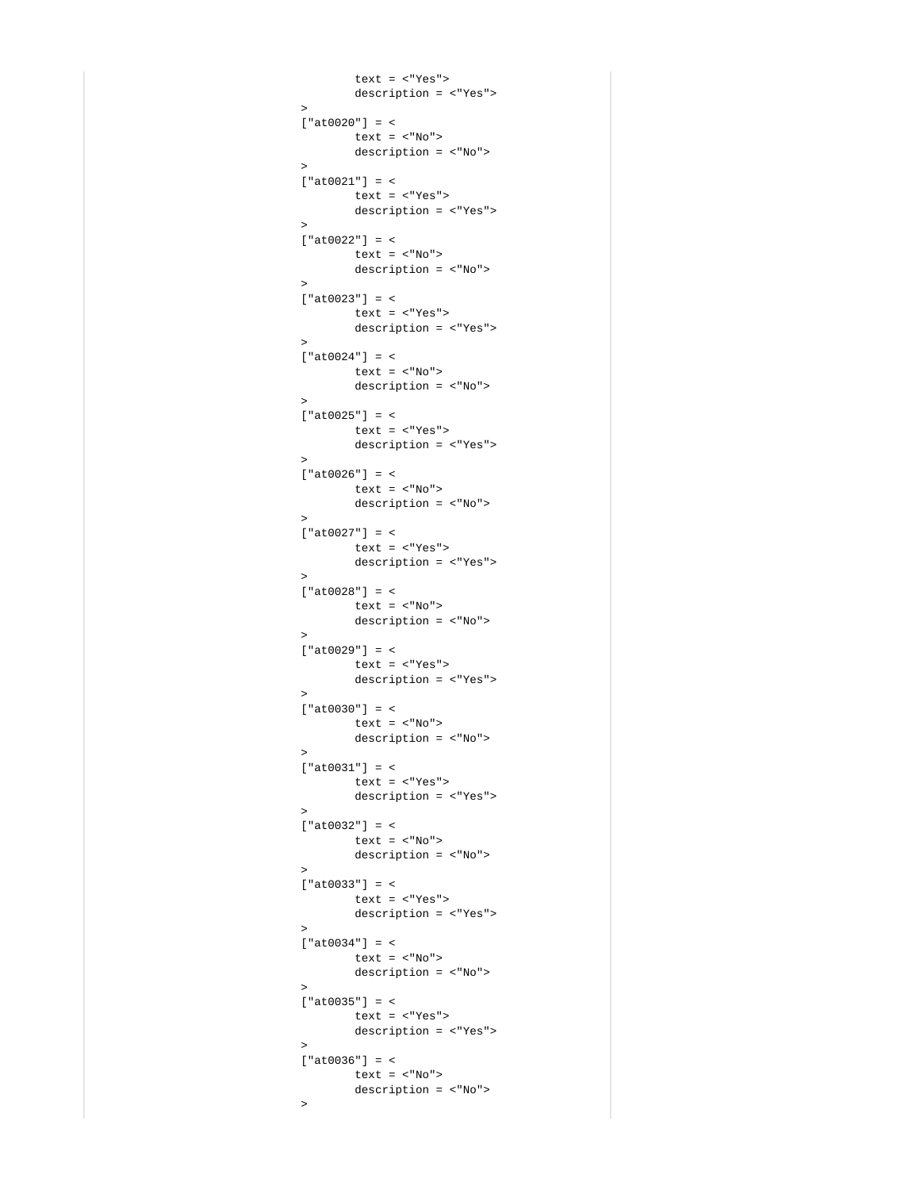```
 text = <"Yes">
                           description = <"Yes">
 >
                     ["at0020"] = <
                          text = <"No">
                          description = <"No">
 >
                     ["at0021"] = <
                           text = <"Yes">
                           description = <"Yes">
 >
                    ['at0022"] = < text = <"No">
                           description = <"No">
 >
                    ['at0023"] = < text = <"Yes">
                          description = <"Yes">
 >
                     ["at0024"] = <
                          text = <"No">
                           description = <"No">
 >
                     ["at0025"] = <
                          text = <"Yes">
                          description = <"Yes">
 >
                    ['at0026"] = < text = <"No">
                          description = <"No">
 >
                    ['at.0027"] = < text = <"Yes">
                           description = <"Yes">
 >
                    [ "at0028" ] = < text = <"No">
                          description = <"No">
 >
                     ["at0029"] = <
                          text = <"Yes">
                          description = <"Yes">
 >
                     ["at0030"] = <
                          text = \langle "No" \rangle description = <"No">
 >
                    ['at0031"] = < text = <"Yes">
                          description = <"Yes">
 >
                    ['at0032"] = < text = <"No">
                          description = <"No">
 >
                     ["at0033"] = <
                          text = <"Yes">
                          description = <"Yes">
 >
                     ["at0034"] = <
                          text = <"No">
                          description = <"No">
 >
                     ["at0035"] = <
                          text = <"Yes">
                           description = <"Yes">
 >
                    ['at0036"] = < text = <"No">
                          description = <"No">
\rightarrow
```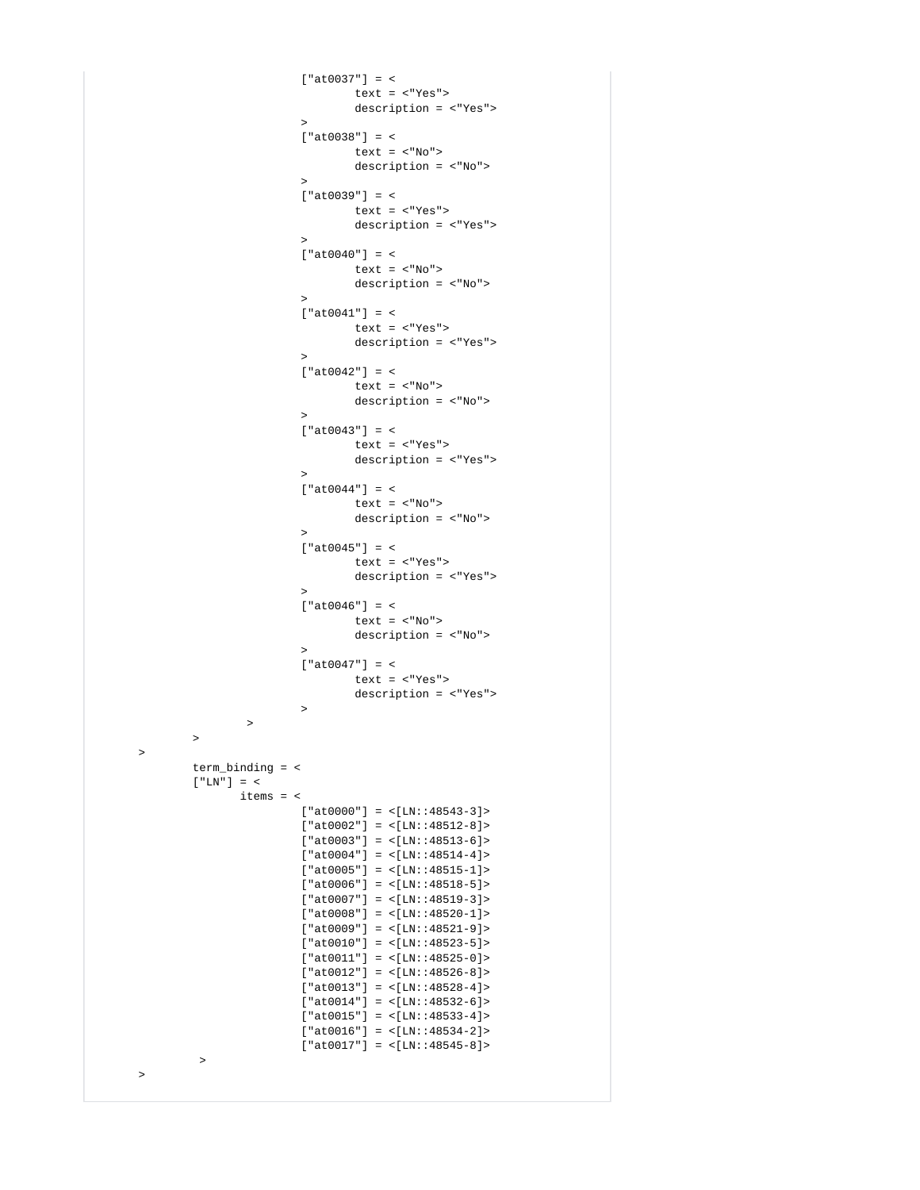```
['at0037"] = < text = <"Yes">
                                    description = <"Yes">
\rightarrow['at0038"] = <text = <"No">
                                    description = <"No">
\rightarrow['at0039"] = < text = <"Yes">
                                    description = <"Yes">
\rightarrow["at0040"] = < text = <"No">
                                    description = <"No">
\rightarrow ["at0041"] = <
                                    text = <"Yes">
                                    description = <"Yes">
\rightarrow['at0042"] = <text = \langle "No" \rangle description = <"No">
\rightarrow['at0043"] = < text = <"Yes">
                                    description = <"Yes">
\rightarrow["at0044"] = <text = <"No">
                                    description = <"No">
\rightarrow ["at0045"] = <
                                    text = <"Yes">
                                    description = <"Yes">
\rightarrow["at0046"] = < text = <"No">
                                    description = <"No">
\rightarrow ["at0047"] = <
                                   text = <"Yes">
                                   description = <"Yes">
\rightarrow\rightarrow \rightarrow \rightarrow \rightarrow \rightarrow \rightarrow \rightarrow\rightarrow \rightarrow \rightarrow \rightarrow term_binding = <
             [ "LN"] = <
                    items = <
                           ["at0000"] = <[LM::48543-3]['at0002"] = <[LN:148512-8] >['at0003"] = <[LN:148513-6]['at0004"] = <[LN:148514-4] >['at0005"] = <[LN:148515-1]['at0006"] = <[LN:148518-5]['at0007"] = <[LN:148519-3]['at0008"] = <[LN:148520-1]['at0009"] = <[LN:148521-9] >['at0010"] = <[LN:148523-5]['at0011"] = <[LN:148525-0] >['at0012"] = <[LN:148526-8] >['at0013"] = <[LN:148528-4]['at0014"] = <[LM::48532-6] >['at0015"] = <[LN:148533-4] >['at0016"] = <[LN:148534-2] >["at0017"] = <[LN:148545-8] >\rightarrow
```
>

>